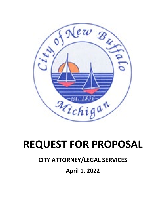

# **REQUEST FOR PROPOSAL**

# **CITY ATTORNEY/LEGAL SERVICES**

# **April 1, 2022**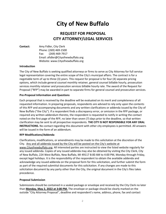# **City of New Buffalo**

### **REQUEST FOR PROPOSAL CITY ATTORNEY/LEGAL SERVICES**

**Contact:** Amy Fidler, City Clerk Phone: (269) 469-1500 Fax: (269) 469-7917 Email: afidler@Cityofnewbuffalo.org Website: www.Cityofnewbuffalo.org

#### **Introduction**

The City of New Buffalo is seeking qualified attorneys or firms to serve as City Attorney for full service legal representation covering the entire scope of the City's municipal affairs. The contract is for a negotiable term of up to three (3) years. This request for proposal is for four (4) separate pricing options, which include general counsel monthly retainer, general counsel billable hourly, prosecution services monthly retainer and prosecution services billable hourly rate. The award of the Request for Proposal ("RFP") may be awarded in part to separate firms for general counsel and prosecution services.

#### **Pre-Proposal Information and Questions**

Each proposal that is received by the deadline will be evaluated on its merit and completeness of all requested information. In preparing proposals, respondents are advised to rely only upon the contents of this RFP and accompanying documents and any written clarifications or addenda issued by the City of New Buffalo ("the City"). If a respondent finds a discrepancy error, or omission in the RFP package, or required any written addendum thereto, the respondent is requested to notify in writing the contact noted on the first page of the RFP, no later than seven (7) days prior to the deadline, so that written clarification may be sent to all prospective respondents. **THE CITY IS NOT RESPONSIBLE FOR ANY ORAL INSTRUCTIONS.** No contact regarding this document with other city employees is permitted. All answers will be issued in the form of an addendum.

#### **RFP Modifications/Addenda**

Clarifications, modifications, or amendments may be made to this solicitation at the discretion of the City. Any and all addenda issued by the City will be posted on the City's website at [www.Cityofnewbuffalo.org.](http://www.cityofnewbuffalo.org/) All interested parties are instructed to view the listed website regularly for any issued addenda. Copies of any issued addenda may also be obtained by visiting the City Clerk, City of New Buffalo, 224 West Buffalo, New Buffalo, MI 49117 8:00 AM to 4:00 PM, Monday through Friday, except legal holidays. It is the responsibility of the respondent to obtain the available addenda and acknowledge any issued addenda on the proposal form for this solicitation, and further submit the form as part of the required submittal documents for this solicitation. If any changes are made to this solicitation document by any party other than the City, the original document in the City's files takes precedence.

#### **Proposal Submission**

Submissions should be contained in a sealed package or envelope and received by the City Clerk no later than **Monday, May 2, 2022 at 3:00 PM.** The envelope or package should be clearly marked on the outside "City Attorney Proposal'', deadline and respondent's name, address, phone, fax and contact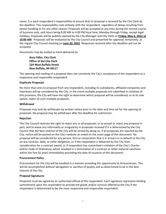name. It is each respondent's responsibility to ensure that its proposal is received by the City Clerk by the deadline. This responsibility rests entirely with the respondent, regardless of delays resulting from postal handling or for any other reason. Proposals will be accepted at any time during the normal course of business only, said hours being 8:00 AM to 4:00 PM local time, Monday through Friday, except legal holidays. Proposals will be publicly opened by the City Manager and City Clerk on **Friday, May 6, 2022 at 10:00 AM**. Proposals will be evaluated by the City Council and presented for approval, tentatively, at the regular City Council meeting on **June 20, 2022**. Responses received after the deadline will not be accepted.

Documents may be mailed or hand-delivered to:

#### **Amy Fidler, City Clerk Office of the City Clerk 224 West Buffalo Street New Buffalo, MI 49117**

The opening and reading of a proposal does not constitute the City's acceptance of the respondent as a responsive and responsible respondent.

#### **Duplicate Proposals**

No more than one (1) proposal from any respondent, including its subsidiaries, affiliated companies and franchises will be considered by the City. In the event multiple proposals are submitted in violation of this provision, the City will have the right to determine which proposal will be considered, or at its sole option, reject all such multiple proposals.

#### **Withdrawal**

Proposals may only be withdrawn by written notice prior to the date and time set for the opening of proposals. No proposal may be withdrawn after the deadline for submission.

#### **Rejection**

The City Council reserves the right to reject any or all proposals, or to accept or reject any proposal in part, and to waive any informality or irregularity in proposals received if it is determined by the City Council that the best interest of the City will be served by doing so. If all proposals are rejected by the City, notice will be posted on the City's website as noted on the cover page of this document. No proposal will be considered for any person, firm or corporation that is in arrears or in default to the City on any contract, debt, or other obligation, or if the respondent is debarred by the City from consideration for a contract award, or if respondent has committed a violation of the City's Charter and/or Code of Ordinances which resulted in a termination of a contract or other material sanctions within the five (5) years immediately preceding the date of issuance of this document.

#### **Procurement Policy**

Procurement for the City will be handled in a manner providing fair opportunity to all businesses. This will be accomplished without abrogation or sacrifice of quality and as determined to be in the best interest of the City.

#### **Proposal Signatures**

Proposals must be signed by an authorized official of the respondent. Each signature represents binding commitment upon the respondent to provide the goods and/or services offered to the City if the respondent is determined to be the most responsive and responsible respondent.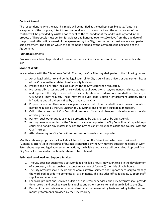#### **Contract Award**

The respondent to who the award is made will be notified at the earliest possible date. Tentative acceptance of the proposal, intent to recommend award of a contract and the actual award of the contract will be provided by written notice sent to the respondent at the address designated in the proposal. All proposals must be firm for at least one hundred twenty (120) days from the due date of the proposal. After a final award of the agreement by the City, the contractor must execute and perform said agreement. The date on which the agreement is signed by the City marks the beginning of the Agreement.

#### **FOIA Requirements**

Proposals are subject to public disclosure after the deadline for submission in accordance with state law.

#### **Scope of Work**

In accordance with the City of New Buffalo Charter, the City Attorney shall perform the following duties:

- 1. Act as legal advisor to and be the legal counsel for City Council and officers or department heads of the City in matters related to official city business.
- 2. Prepare and file written legal opinions with the City Clerk when requested.
- 3. Prosecute all charter and ordinance violations as allowed by charter, ordinance and state statutes, and represent the City in cases before the county, state and federal courts and other tribunals, as City Council may request. These matters include code violation enforcement actions, traffic infractions and all civil suits filed by or against the City.
- 4. Prepare or review all ordinances, regulations, contracts, bonds and other written instruments as may be required by the City Charter or City Council and provide a legal opinion thereof.
- 5. Call to the attention of City Council all matters of law, and changes or developments therein, affecting the City.
- 6. Perform such other duties as may be prescribed by City Charter or by City Council.
- 7. As may be recommended by the City Attorney or as requested by City Council, retain special legal counsel to handle any matter in which the City has an interest or to assist and counsel with the City Attorney.
- 8. Attend meetings of City Council, commission or boards when requested.

Monthly retainer proposals shall include all items listed on the Price Sheet which are considered "General Matters". If in the course of business conducted by the City matters outside the scope of work listed above required legal advisement or actions, the billable hourly rate will be applied. Approval from City Council to proceed at the hourly rate must be obtained.

#### **Estimated Workload and Support Services**

- 1. The City does not guarantee a set workload or billable hours. However, to aid in the development of a proposal, it is reasonable to expect an average of forty (40) monthly billable hours.
- 2. The City Attorney shall provide all the administrative services and support necessary to manage the workload in order to complete all assignments. This includes office facilities, support staff, supplies and equipment.
- 3. For work product and services outside of the retainer services, the City Attorney shall provide time records and detailed costs for supplies and other service items that are billed to the City.
- 4. Payment for non-retainer services rendered shall be on a monthly basis according to the itemized monthly statements provided by the City Attorney.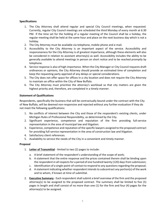#### **Specifications**

- 1. The City Attorney shall attend regular and special City Council meetings, when requested. Currently, regular City Council meetings are scheduled the third Monday of every month at 6:30 PM. If the time set for the holding of a regular meeting of the Council shall be a holiday, the regular meeting shall be held at the same hour and place on the next business day which is not a holiday.
- 2. The City Attorney must be available via telephone, mobile phone and e-mail.
- 3. Accessibility to the City Attorney is an important aspect of the service. Accessibility and responsiveness for the City Attorney is of greatest importance, although these elements will also be considered in relation to assistant attorney(s) as well. Accessibility includes the ability to be generally available to attend meetings in person on short notice and to be reached promptly by telephone.
- 4. Service response is also of high importance. When the City Manager or City Council requests draft ordinances or opinions, the City Attorney should provide an estimated time of completion and keep the requesting party apprised of any delays or special considerations.
- 5. The City does not offer space for offices in a city location and does not require the City Attorney to maintain an office within the City of New Buffalo.
- 6. The City Attorney must prioritize the attorney's workload so that city matters are given the highest priority and, therefore, are completed in a timely manner.

#### **Statement of Qualifications**

Respondents, specifically the business that will be contractually bound under the contract with the City of New Buffalo, will be deemed non-responsive and rejected without any further evaluation if they do not meet the following qualifications:

- 1. No conflicts of interest between the City and those of the respondent's existing clients, under Michigan Rules of Professional Responsibility, as determined by the City.
- 2. Significant experience, competence and reputation of the firm providing full-service representation in the area of municipal law and litigation.
- 3. Experience, competence and reputation of the specific lawyers assigned to the proposed contract for providing full-service representation in the area of construction law and litigation.
- 4. Satisfactory client references.
- 5. Availability to service the needs of the City in a convenient and timely manner.

#### **Proposal**

- 1. **Letter of Transmittal** limited to two (2) pages to include:
	- a. A brief statement of the respondent's understanding of the scope of work;
	- b. A statement that the entire response and the prices contained therein shall be binding upon the respondent in all respects for a period of one hundred twenty (120) days from submission;
	- c. Identification of a single-point-of-contact to respond to any questions regarding the proposal;
	- d. A statement indicating whether respondent intends to subcontract any portion(s) of the work and to whom, if known at time of submittal.
- 2. **Executive Summary** Each respondent shall submit a brief overview of the firm and the proposed attorney(s) to be assigned to the proposed contract. The summary shall be limited to five (5) pages in length and shall consist of no more than one (1) for the firm and four (4) pages for the attorney(s) to be assigned.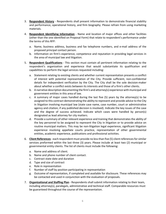- 3. **Respondent History** Respondents shall present information to demonstrate financial stability and performance, operational history, and firm biography. Please refrain from using marketing materials.
- 4. **Respondent Identifying Information** Name and location of major offices and other facilities (other than the one identified on Proposal Form) that relate to respondent's performance under the terms of this RFP:
	- a. Name, business address, business and fax telephone numbers, and e-mail address of the proposed principal contact person.
	- b. Information on firm's experience, competence and reputation in providing legal services in the area of municipal law and litigation.
- 5. **Respondent Qualifications** This section must contain all pertinent information relating to the respondent's organization and experience that would substantiate its qualification and capabilities to perform the legal services requested including:
	- a. Statement relating to existing clients and whether current representation presents a conflict of interest with potential representation of the City. Provide sufficient, non-confidential details for independent verification by the City. The City shall be the sole decision-maker about whether a conflict exists between its interests and those of a firm's other clients.
	- b. A narrative description documenting the firm's and attorney(s) experience with municipal and government entities in this area of law.
	- c. A summary of major cases handled during the last five (5) years by the attorney(s) to be assigned to this contract demonstrating the ability to represent and provide advice to the City in litigation involving municipal law (state case name, case number, court or administrative agency and citation, if any published decision is involved). Indicate the key issues of the case and the degree of success achieved. Indicate which cases were handled by person(s) designated as lead attorney for city matters.
	- d. Provide a summary of other relevant experience and training that demonstrates the ability of the key personnel to be assigned to represent the City in litigation or to provide advice on routine municipal matters. This may be non-litigation legal experience, significant litigation experience involving appellate courts practice, representation of other governmental entities, academic experience, publications and professional activities.
- 6. **Client References** each respondent must provide no less than five (5) client references for similar services preformed within the last three (3) years. Please include at least two (2) municipal or governmental entity clients. The list of clients must include the following:
	- a. Name and address of client.
	- b. Name and phone number of client contact.
	- c. Contract state date and duration
	- d. Type and size of contract
	- e. Role in representation
	- f. Number of staff by position participating in representation
	- g. Outcome of representation, if completed and available for disclosure. These references may be contacted and used in conjunction with the evaluation of proposals.
- 7. **Organizational and Staffing Plan** Respondents shall submit information relating to their team, including attorney(s), paralegals, administrative and technical staff. Comparable resources must be guaranteed throughout the course of the representation.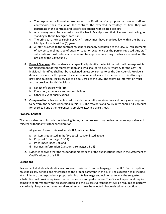- a. The respondent will provide resumes and qualifications of all proposed attorneys, staff and contractors, their role(s) on the contract, the expected percentage of time they will participate in the contract, and specific experience with related projects.
- b. All attorneys must be licensed to practice law in Michigan and their licenses must be in good standing with the Michigan State Bar.
- c. The principal attorney serving as City Attorney must have practiced law within the State of Michigan for at least five (5) years.
- d. All staff assigned to the contract must be reasonably acceptable to the City. All replacements of key personnel must be of equal or superior experience as the person replaced. Any staff substitutions must include a resume and be approved in writing in advance of work on the project by the City Council.
- 8. **Project Manager** Respondents shall specifically identify the individual who will be responsible for management of this representation and who shall serve as City Attorney for the City. The individual identified shall not be reassigned unless consented to by the City Council. Provide a detailed resume for this person. Include the number of years of experience on this attorney in providing municipal legal services to be delivered to the City. The following information must also be provided for this individual:
	- a. Length of service with firm
	- b. Education, experience and responsibilities
	- c. Other relevant qualifications
- 9. **Compensation** Respondents must provide the monthly retainer fees and hourly rate proposed to perform the services identified in this RFP. The retainers and hourly rates should fully account for overhead and other expenses. Complete attached price sheet.

#### **Proposal Content**

The respondent must include the following items, or the proposal may be deemed non-responsive and rejected without any further consideration:

- 1. All general forms contained in this RFP, fully completed:
	- a. All items requested in the "Proposal" section listed above,
	- b. Proposal Form (pages 10-11),
	- c. Price Sheet (page 12), and
	- d. Business Information Questionnaire (pages 13-14)
- 2. Evidence showing that the respondent meets each of the qualifications listed in the Statement of Qualifications of this RFP.

#### **Exceptions**

Respondent shall clearly identify any proposed deviation from the language in the RFP. Each exception must be clearly defined and referenced to the proper paragraph in this RFP. The exception shall include, at a minimum, the respondent's proposed substitute language and opinion as to why the suggested substitution will provide equivalent or better service and performance. The City will expect and require complete conformance with this specification and the successful respondent will be required to perform accordingly. Proposals not meeting all requirements may be rejected. Proposals taking exception to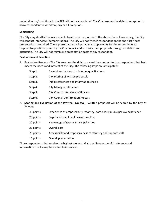material terms/conditions in the RFP will not be considered. The City reserves the right to accept, or to allow respondent to withdraw, any or all exceptions.

#### **Shortlisting**

The City may shortlist the respondents based upon responses to the above items. If necessary, the City will conduct interviews/demonstrations. The City will notify each respondent on the shortlist if such presentation is required. These presentations will provide an opportunity for the respondents to respond to questions posed by the City Council and to clarify their proposals through exhibition and discussion. The City will not reimburse presentation costs of any respondent.

#### **Evaluation and Selection**

- 1. **Evaluation Process** The City reserves the right to award the contract to that respondent that best meets the needs and interest of the City. The following steps are anticipated:
	- Step 1. Receipt and review of minimum qualifications
	- Step 2. City scoring of written proposals
	- Step 3. Initial references and information checks
	- Step 4. City Manager interviews
	- Step 5. City Council interviews of finalists
	- Step 6. City Council Confirmation Process
- 2. **Scoring and Evaluation of the Written Proposal** Written proposals will be scored by the City as follows:

| 40 points | Experience of proposed City Attorney, particularly municipal law experience |
|-----------|-----------------------------------------------------------------------------|
| 20 points | Depth and stability of firm or practice                                     |
| 20 points | Knowledge of special municipal issues                                       |
| 20 points | Overall cost                                                                |
| 20 points | Accessibility and responsiveness of attorney and support staff              |
| 10 points | Overall presentation                                                        |

Those respondents that receive the highest scores and also achieve successful reference and information checks may be invited to interview.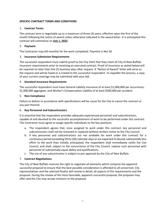#### **SPECIFIC CONTRACT TERMS AND CONDITIONS**

#### 1. **Contract Terms**

The contract term is negotiable up to a maximum of three (3) years, effective upon the first of the month following the notice of award unless otherwise indicated in the award letter. It is anticipated this contract will commence on **July 1, 2022**.

#### 2. **Payment**

The Contractor may bill monthly for the work completed. Payment is Net 30.

#### 3. **Insurance Submission Requirements**

The successful respondent must submit proof to the City Clerk that they meet all City of New Buffalo insurance requirements prior to receiving an executed contract. Proof of insurance as stated below will be required no later than five (5) business days after request. A "Notice of Award" letter will serve as the request and will be faxed or e-mailed to the successful respondent. To expedite the process, a copy of your current coverage may be submitted with your bid.

#### 4. **Standard Insurance Requirements**

The successful respondent must have General Liability insurance of at least \$1,000,000 per occurrence; \$1,000,000 aggregate, and Worker's Compensation Liability of at least \$500,000 per accident.

#### 5. **Non-Compliance**

Failure to deliver in accordance with specifications will be cause for the City to cancel the contract or any part thereof.

#### 6. **Key Personnel and Subcontractors**

It is essential that the respondent provides adequate experienced personnel and subcontractors, capable of and devoted to the successful accomplishment of work to be performed under this contract. The Contractor must agree to assign specific individuals to the key positions.

- a. The respondent agrees that, once assigned to work under this contract, key personnel and subcontractors shall not be removed or replaced without written notice to the City Council.
- b. If key personnel and subcontractors are not available for work under this contract for a continuous period exceeding thirty (30) calendar days or are expected to devote substantially less effort to the work than initially anticipated, the respondent shall immediately notify the City Council, and shall, subject to the concurrence of the City Council, replace such personnel with personnel of substantially equal ability and qualifications.
- c. The use of any subcontractor is subject to pre-approval by the City of New Buffalo.

#### 7. **Contract Negotiations**

The City of New Buffalo reserves the right to negotiate all elements which comprise the apparent successful proposal to ensure that the best possible consideration is afforded to all concerned. City representatives and the selected finalist will review in detail, all aspects of the requirements and the proposal. During the review of the most favorable, apparent successful proposal, the proposer may offer and the City may accept revisions to the proposal.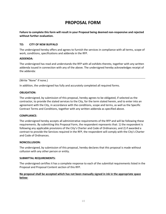### **PROPOSAL FORM**

**Failure to complete this form will result in your Proposal being deemed non-responsive and rejected without further evaluation.**

#### **TO: CITY OF NEW BUFFALO**

The undersigned hereby offers and agrees to furnish the services in compliance with all terms, scope of work, conditions, specifications and addenda in the RFP.

#### **ADDENDA:**

The undersigned has read and understands the RFP with all exhibits thereto, together with any written addenda issued in connection with any of the above. The undersigned hereby acknowledges receipt of the addenda:

#### (Write "None" if none.)

In addition, the undersigned has fully and accurately completed all required forms.

#### **OBLIGATION:**

The undersigned, by submission of this proposal, hereby agrees to be obligated, if selected as the contractor, to provide the stated services to the City, for the term stated herein, and to enter into an agreement with the City, in accordance with the conditions, scope and terms, as well as the Specific Contract Terms and Conditions, together with any written addenda as specified above.

#### **COMPLIANCE:**

The undersigned hereby accepts all administrative requirements of the RFP and will be following these requirements. By submitting this Proposal Form, the respondent represents that: 1) the respondent is following any applicable provisions of the City's Charter and Code of Ordinances; and 2) if awarded a contract to provide the Services required in the RFP, the respondent will comply with the City's Charter and Code of Ordinances.

#### **NONCOLLUSION:**

The undersigned, by submission of this proposal, hereby declares that this proposal is made without collusion with any other person or entity.

#### **SUBMITTAL REQUIREMENTS:**

The undersigned certifies it has a complete response to each of the submittal requirements listed in the Proposal and Proposal Content section of this RFP.

#### **No proposal shall be accepted which has not been manually signed in ink in the appropriate space below:**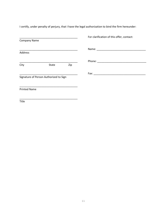I certify, under penalty of perjury, that I have the legal authorization to bind the firm hereunder:

|                     |                                        |     | For clarification of this offer, contact: |  |  |
|---------------------|----------------------------------------|-----|-------------------------------------------|--|--|
| <b>Company Name</b> |                                        |     |                                           |  |  |
|                     |                                        |     |                                           |  |  |
| Address             |                                        |     |                                           |  |  |
|                     |                                        |     |                                           |  |  |
| City                | State                                  | Zip |                                           |  |  |
|                     |                                        |     |                                           |  |  |
|                     | Signature of Person Authorized to Sign |     |                                           |  |  |
|                     |                                        |     |                                           |  |  |
| <b>Printed Name</b> |                                        |     |                                           |  |  |
|                     |                                        |     |                                           |  |  |
| <b>Title</b>        |                                        |     |                                           |  |  |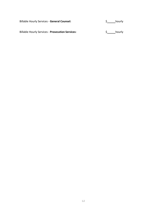Billable Hourly Services - **General Counsel:** \$\_\_\_\_\_hourly

Billable Hourly Services - **Prosecution Services:** \$\_\_\_\_hourly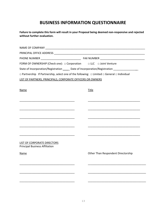### **BUSINESS INFORMATION QUESTIONNAIRE**

| Failure to complete this form will result in your Proposal being deemed non-responsive and rejected |
|-----------------------------------------------------------------------------------------------------|
| without further evaluation.                                                                         |

| FORM OF OWNERSHIP (Check one): $\Box$ Corporation $\Box$ LLC $\Box$ Joint Venture                                    |                                    |  |  |
|----------------------------------------------------------------------------------------------------------------------|------------------------------------|--|--|
| State of Incorporation/Registration _____ Date of Incorporation/Registration ________________                        |                                    |  |  |
| $\Box$ Partnership If Partnership, select one of the following: $\Box$ Limited $\Box$ General $\Box$ Individual      |                                    |  |  |
| LIST OF PARTNERS, PRINCIPALS, CORPORATE OFFICERS OR OWNERS                                                           |                                    |  |  |
|                                                                                                                      |                                    |  |  |
| <b>Name</b>                                                                                                          | Title                              |  |  |
|                                                                                                                      |                                    |  |  |
|                                                                                                                      |                                    |  |  |
|                                                                                                                      |                                    |  |  |
|                                                                                                                      |                                    |  |  |
|                                                                                                                      |                                    |  |  |
|                                                                                                                      |                                    |  |  |
|                                                                                                                      |                                    |  |  |
| <u> 1990 - Johann John Stone, mars eta bainar eta industrial eta erromana eta erromana eta erromana eta erromana</u> |                                    |  |  |
|                                                                                                                      |                                    |  |  |
| <b>LIST OF CORPORATE DIRECTORS</b><br><b>Principal Business Affiliation</b>                                          |                                    |  |  |
| Name                                                                                                                 | Other Than Respondent Directorship |  |  |
|                                                                                                                      |                                    |  |  |
|                                                                                                                      |                                    |  |  |
|                                                                                                                      |                                    |  |  |
|                                                                                                                      |                                    |  |  |
|                                                                                                                      |                                    |  |  |